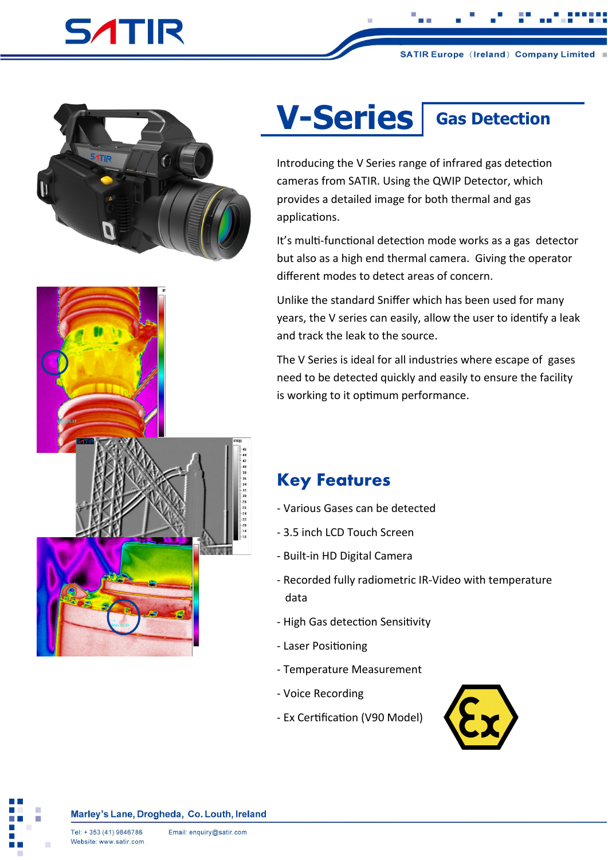## **SATIR**



## **V-Series** | Gas Detection

Introducing the V Series range of infrared gas detection cameras from SATIR. Using the QWIP Detector, which provides a detailed image for both thermal and gas applications.

It's multi-functional detection mode works as a gas detector but also as a high end thermal camera. Giving the operator different modes to detect areas of concern.

Unlike the standard Sniffer which has been used for many years, the V series can easily, allow the user to identify a leak and track the leak to the source.

The V Series is ideal for all industries where escape of gases need to be detected quickly and easily to ensure the facility is working to it optimum performance.

## **Key Features**

- Various Gases can be detected
- 3.5 inch LCD Touch Screen
- Built-in HD Digital Camera
- Recorded fully radiometric IR-Video with temperature data
- High Gas detection Sensitivity
- Laser Positioning
- Temperature Measurement
- Voice Recording
- Ex Certification (V90 Model)



## Marley's Lane, Drogheda, Co. Louth, Ireland

研究日